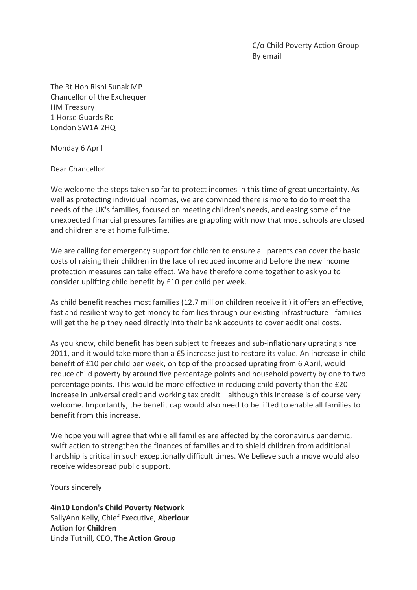C/o Child Poverty Action Group By email

The Rt Hon Rishi Sunak MP Chancellor of the Exchequer **HM** Treasury 1 Horse Guards Rd London SW1A 2HQ

Monday 6 April

Dear Chancellor

We welcome the steps taken so far to protect incomes in this time of great uncertainty. As well as protecting individual incomes, we are convinced there is more to do to meet the needs of the UK's families, focused on meeting children's needs, and easing some of the unexpected financial pressures families are grappling with now that most schools are closed and children are at home full-time.

We are calling for emergency support for children to ensure all parents can cover the basic costs of raising their children in the face of reduced income and before the new income protection measures can take effect. We have therefore come together to ask you to consider uplifting child benefit by £10 per child per week.

As child benefit reaches most families (12.7 million children receive it ) it offers an effective, fast and resilient way to get money to families through our existing infrastructure - families will get the help they need directly into their bank accounts to cover additional costs.

As you know, child benefit has been subject to freezes and sub-inflationary uprating since 2011, and it would take more than a £5 increase just to restore its value. An increase in child benefit of £10 per child per week, on top of the proposed uprating from 6 April, would reduce child poverty by around five percentage points and household poverty by one to two percentage points. This would be more effective in reducing child poverty than the £20 increase in universal credit and working tax credit – although this increase is of course very welcome. Importantly, the benefit cap would also need to be lifted to enable all families to benefit from this increase.

We hope you will agree that while all families are affected by the coronavirus pandemic, swift action to strengthen the finances of families and to shield children from additional hardship is critical in such exceptionally difficult times. We believe such a move would also receive widespread public support.

Yours sincerely

**4in10 London's Child Poverty Network** SallyAnn Kelly, Chief Executive, Aberlour **Action for Children** Linda Tuthill, CEO, The Action Group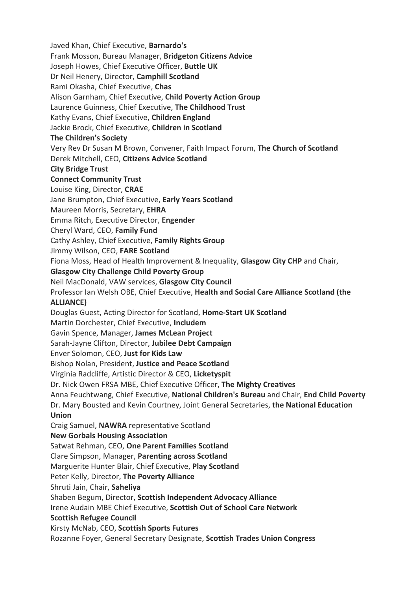Javed Khan, Chief Executive, **Barnardo's** Frank Mosson, Bureau Manager, **Bridgeton Citizens Advice** Joseph Howes, Chief Executive Officer, **Buttle UK** Dr Neil Henery, Director, Camphill Scotland Rami Okasha, Chief Executive, **Chas** Alison Garnham, Chief Executive, Child Poverty Action Group Laurence Guinness, Chief Executive, The Childhood Trust Kathy Evans, Chief Executive, Children England Jackie Brock, Chief Executive, Children in Scotland **The Children's Society** Very Rev Dr Susan M Brown, Convener, Faith Impact Forum, The Church of Scotland Derek Mitchell, CEO, Citizens Advice Scotland **City Bridge Trust Connect Community Trust** Louise King, Director, CRAE Jane Brumpton, Chief Executive, Early Years Scotland Maureen Morris, Secretary, **EHRA** Emma Ritch, Executive Director, **Engender** Cheryl Ward, CEO, **Family Fund** Cathy Ashley, Chief Executive, Family Rights Group Jimmy Wilson, CEO, **FARE Scotland** Fiona Moss, Head of Health Improvement & Inequality, Glasgow City CHP and Chair, **Glasgow City Challenge Child Poverty Group** Neil MacDonald, VAW services, Glasgow City Council Professor Ian Welsh OBE, Chief Executive, **Health and Social Care Alliance Scotland (the ALLIANCE)** Douglas Guest, Acting Director for Scotland, **Home-Start UK Scotland** Martin Dorchester, Chief Executive, **Includem** Gavin Spence, Manager, James McLean Project Sarah-Jayne Clifton, Director, **Jubilee Debt Campaign** Enver Solomon, CEO, Just for Kids Law Bishop Nolan, President, Justice and Peace Scotland Virginia Radcliffe, Artistic Director & CEO, **Licketyspit** Dr. Nick Owen FRSA MBE, Chief Executive Officer, **The Mighty Creatives** Anna Feuchtwang, Chief Executive, National Children's Bureau and Chair, End Child Poverty Dr. Mary Bousted and Kevin Courtney, Joint General Secretaries, the National Education **Union** Craig Samuel, **NAWRA** representative Scotland **New Gorbals Housing Association** Satwat Rehman, CEO, One Parent Families Scotland Clare Simpson, Manager, Parenting across Scotland Marguerite Hunter Blair, Chief Executive, Play Scotland Peter Kelly, Director, **The Poverty Alliance** Shruti Jain, Chair, Saheliya Shaben Begum, Director, **Scottish Independent Advocacy Alliance** Irene Audain MBE Chief Executive, Scottish Out of School Care Network **Scottish Refugee Council** Kirsty McNab, CEO, **Scottish Sports Futures** Rozanne Foyer, General Secretary Designate, **Scottish Trades Union Congress**